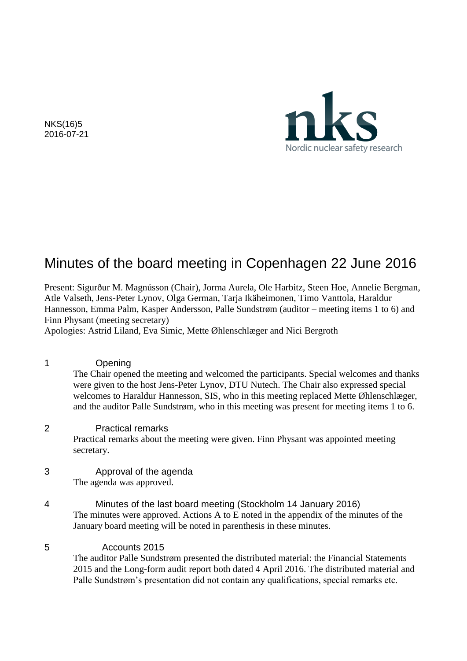

NKS(16)5 2016-07-21

# Minutes of the board meeting in Copenhagen 22 June 2016

Present: Sigurður M. Magnússon (Chair), Jorma Aurela, Ole Harbitz, Steen Hoe, Annelie Bergman, Atle Valseth, Jens-Peter Lynov, Olga German, Tarja Ikäheimonen, Timo Vanttola, Haraldur Hannesson, Emma Palm, Kasper Andersson, Palle Sundstrøm (auditor – meeting items 1 to 6) and Finn Physant (meeting secretary)

Apologies: Astrid Liland, Eva Simic, Mette Øhlenschlæger and Nici Bergroth

- 1 Opening The Chair opened the meeting and welcomed the participants. Special welcomes and thanks were given to the host Jens-Peter Lynov, DTU Nutech. The Chair also expressed special welcomes to Haraldur Hannesson, SIS, who in this meeting replaced Mette Øhlenschlæger, and the auditor Palle Sundstrøm, who in this meeting was present for meeting items 1 to 6.
- 2 Practical remarks

Practical remarks about the meeting were given. Finn Physant was appointed meeting secretary.

- 3 Approval of the agenda The agenda was approved.
- 4 Minutes of the last board meeting (Stockholm 14 January 2016) The minutes were approved. Actions A to E noted in the appendix of the minutes of the January board meeting will be noted in parenthesis in these minutes.
- 5 Accounts 2015

The auditor Palle Sundstrøm presented the distributed material: the Financial Statements 2015 and the Long-form audit report both dated 4 April 2016. The distributed material and Palle Sundstrøm's presentation did not contain any qualifications, special remarks etc.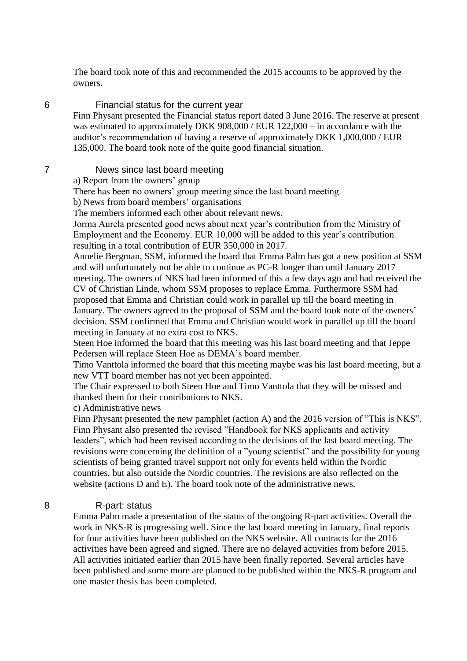The board took note of this and recommended the 2015 accounts to be approved by the owners.

#### 6 Financial status for the current year

Finn Physant presented the Financial status report dated 3 June 2016. The reserve at present was estimated to approximately DKK 908,000 / EUR 122,000 – in accordance with the auditor's recommendation of having a reserve of approximately DKK 1,000,000 / EUR 135,000. The board took note of the quite good financial situation.

## 7 News since last board meeting

a) Report from the owners' group

There has been no owners' group meeting since the last board meeting.

b) News from board members' organisations

The members informed each other about relevant news.

Jorma Aurela presented good news about next year's contribution from the Ministry of Employment and the Economy. EUR 10,000 will be added to this year's contribution resulting in a total contribution of EUR 350,000 in 2017.

Annelie Bergman, SSM, informed the board that Emma Palm has got a new position at SSM and will unfortunately not be able to continue as PC-R longer than until January 2017 meeting. The owners of NKS had been informed of this a few days ago and had received the CV of Christian Linde, whom SSM proposes to replace Emma. Furthermore SSM had proposed that Emma and Christian could work in parallel up till the board meeting in January. The owners agreed to the proposal of SSM and the board took note of the owners' decision. SSM confirmed that Emma and Christian would work in parallel up till the board meeting in January at no extra cost to NKS.

Steen Hoe informed the board that this meeting was his last board meeting and that Jeppe Pedersen will replace Steen Hoe as DEMA's board member.

Timo Vanttola informed the board that this meeting maybe was his last board meeting, but a new VTT board member has not yet been appointed.

The Chair expressed to both Steen Hoe and Timo Vanttola that they will be missed and thanked them for their contributions to NKS.

c) Administrative news

Finn Physant presented the new pamphlet (action A) and the 2016 version of "This is NKS". Finn Physant also presented the revised "Handbook for NKS applicants and activity leaders", which had been revised according to the decisions of the last board meeting. The revisions were concerning the definition of a "young scientist" and the possibility for young scientists of being granted travel support not only for events held within the Nordic countries, but also outside the Nordic countries. The revisions are also reflected on the website (actions D and E). The board took note of the administrative news.

#### 8 R-part: status

Emma Palm made a presentation of the status of the ongoing R-part activities. Overall the work in NKS-R is progressing well. Since the last board meeting in January, final reports for four activities have been published on the NKS website. All contracts for the 2016 activities have been agreed and signed. There are no delayed activities from before 2015. All activities initiated earlier than 2015 have been finally reported. Several articles have been published and some more are planned to be published within the NKS-R program and one master thesis has been completed.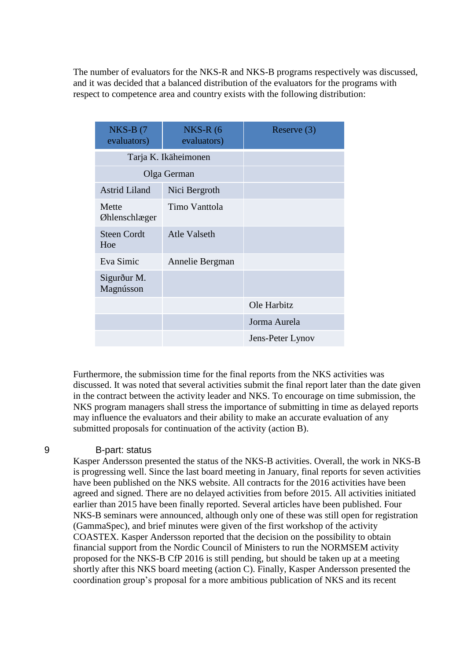The number of evaluators for the NKS-R and NKS-B programs respectively was discussed, and it was decided that a balanced distribution of the evaluators for the programs with respect to competence area and country exists with the following distribution:

| $NKS-B$ (7<br>evaluators) | $NKS-R(6)$<br>evaluators) | Reserve $(3)$    |
|---------------------------|---------------------------|------------------|
| Tarja K. Ikäheimonen      |                           |                  |
| Olga German               |                           |                  |
| <b>Astrid Liland</b>      | Nici Bergroth             |                  |
| Mette<br>Øhlenschlæger    | Timo Vanttola             |                  |
| <b>Steen Cordt</b><br>Hoe | Atle Valseth              |                  |
| Eva Simic                 | Annelie Bergman           |                  |
| Sigurður M.<br>Magnússon  |                           |                  |
|                           |                           | Ole Harbitz      |
|                           |                           | Jorma Aurela     |
|                           |                           | Jens-Peter Lynov |

Furthermore, the submission time for the final reports from the NKS activities was discussed. It was noted that several activities submit the final report later than the date given in the contract between the activity leader and NKS. To encourage on time submission, the NKS program managers shall stress the importance of submitting in time as delayed reports may influence the evaluators and their ability to make an accurate evaluation of any submitted proposals for continuation of the activity (action B).

#### 9 B-part: status

Kasper Andersson presented the status of the NKS-B activities. Overall, the work in NKS-B is progressing well. Since the last board meeting in January, final reports for seven activities have been published on the NKS website. All contracts for the 2016 activities have been agreed and signed. There are no delayed activities from before 2015. All activities initiated earlier than 2015 have been finally reported. Several articles have been published. Four NKS-B seminars were announced, although only one of these was still open for registration (GammaSpec), and brief minutes were given of the first workshop of the activity COASTEX. Kasper Andersson reported that the decision on the possibility to obtain financial support from the Nordic Council of Ministers to run the NORMSEM activity proposed for the NKS-B CfP 2016 is still pending, but should be taken up at a meeting shortly after this NKS board meeting (action C). Finally, Kasper Andersson presented the coordination group's proposal for a more ambitious publication of NKS and its recent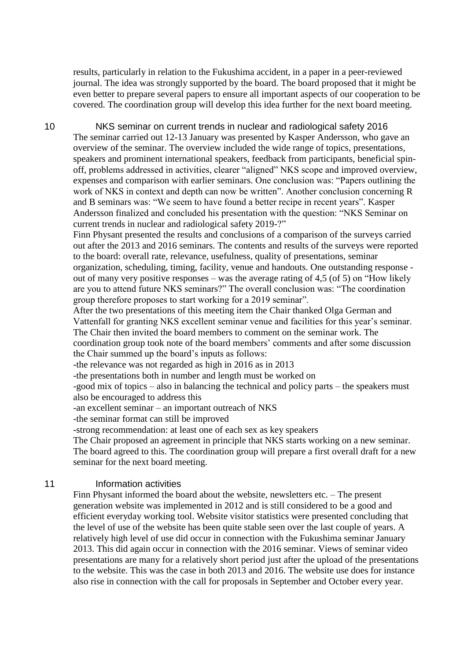results, particularly in relation to the Fukushima accident, in a paper in a peer-reviewed journal. The idea was strongly supported by the board. The board proposed that it might be even better to prepare several papers to ensure all important aspects of our cooperation to be covered. The coordination group will develop this idea further for the next board meeting.

10 NKS seminar on current trends in nuclear and radiological safety 2016 The seminar carried out 12-13 January was presented by Kasper Andersson, who gave an overview of the seminar. The overview included the wide range of topics, presentations, speakers and prominent international speakers, feedback from participants, beneficial spinoff, problems addressed in activities, clearer "aligned" NKS scope and improved overview, expenses and comparison with earlier seminars. One conclusion was: "Papers outlining the work of NKS in context and depth can now be written". Another conclusion concerning R and B seminars was: "We seem to have found a better recipe in recent years". Kasper Andersson finalized and concluded his presentation with the question: "NKS Seminar on current trends in nuclear and radiological safety 2019-?"

Finn Physant presented the results and conclusions of a comparison of the surveys carried out after the 2013 and 2016 seminars. The contents and results of the surveys were reported to the board: overall rate, relevance, usefulness, quality of presentations, seminar organization, scheduling, timing, facility, venue and handouts. One outstanding response out of many very positive responses – was the average rating of 4,5 (of 5) on "How likely are you to attend future NKS seminars?" The overall conclusion was: "The coordination group therefore proposes to start working for a 2019 seminar".

After the two presentations of this meeting item the Chair thanked Olga German and Vattenfall for granting NKS excellent seminar venue and facilities for this year's seminar. The Chair then invited the board members to comment on the seminar work. The coordination group took note of the board members' comments and after some discussion the Chair summed up the board's inputs as follows:

-the relevance was not regarded as high in 2016 as in 2013

-the presentations both in number and length must be worked on

-good mix of topics – also in balancing the technical and policy parts – the speakers must also be encouraged to address this

-an excellent seminar – an important outreach of NKS

-the seminar format can still be improved

-strong recommendation: at least one of each sex as key speakers

The Chair proposed an agreement in principle that NKS starts working on a new seminar. The board agreed to this. The coordination group will prepare a first overall draft for a new seminar for the next board meeting.

#### 11 **Information activities**

Finn Physant informed the board about the website, newsletters etc. – The present generation website was implemented in 2012 and is still considered to be a good and efficient everyday working tool. Website visitor statistics were presented concluding that the level of use of the website has been quite stable seen over the last couple of years. A relatively high level of use did occur in connection with the Fukushima seminar January 2013. This did again occur in connection with the 2016 seminar. Views of seminar video presentations are many for a relatively short period just after the upload of the presentations to the website. This was the case in both 2013 and 2016. The website use does for instance also rise in connection with the call for proposals in September and October every year.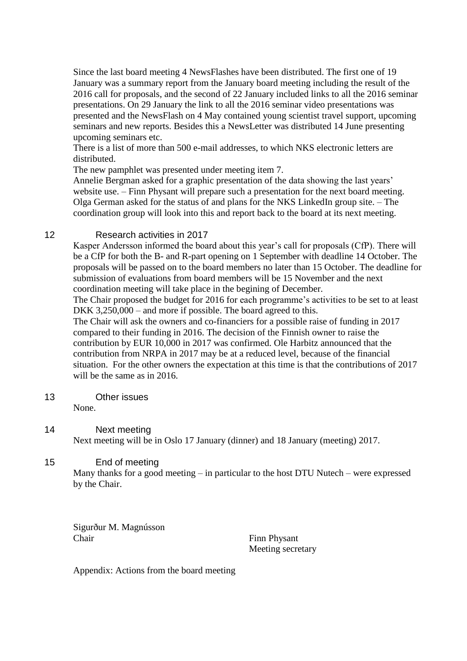Since the last board meeting 4 NewsFlashes have been distributed. The first one of 19 January was a summary report from the January board meeting including the result of the 2016 call for proposals, and the second of 22 January included links to all the 2016 seminar presentations. On 29 January the link to all the 2016 seminar video presentations was presented and the NewsFlash on 4 May contained young scientist travel support, upcoming seminars and new reports. Besides this a NewsLetter was distributed 14 June presenting upcoming seminars etc.

There is a list of more than 500 e-mail addresses, to which NKS electronic letters are distributed.

The new pamphlet was presented under meeting item 7.

Annelie Bergman asked for a graphic presentation of the data showing the last years' website use. – Finn Physant will prepare such a presentation for the next board meeting. Olga German asked for the status of and plans for the NKS LinkedIn group site. – The coordination group will look into this and report back to the board at its next meeting.

### 12 Research activities in 2017

Kasper Andersson informed the board about this year's call for proposals (CfP). There will be a CfP for both the B- and R-part opening on 1 September with deadline 14 October. The proposals will be passed on to the board members no later than 15 October. The deadline for submission of evaluations from board members will be 15 November and the next coordination meeting will take place in the begining of December.

The Chair proposed the budget for 2016 for each programme's activities to be set to at least DKK 3,250,000 – and more if possible. The board agreed to this.

The Chair will ask the owners and co-financiers for a possible raise of funding in 2017 compared to their funding in 2016. The decision of the Finnish owner to raise the contribution by EUR 10,000 in 2017 was confirmed. Ole Harbitz announced that the contribution from NRPA in 2017 may be at a reduced level, because of the financial situation. For the other owners the expectation at this time is that the contributions of 2017 will be the same as in 2016.

13 Other issues

None.

14 Next meeting Next meeting will be in Oslo 17 January (dinner) and 18 January (meeting) 2017.

## 15 End of meeting

Many thanks for a good meeting – in particular to the host DTU Nutech – were expressed by the Chair.

Sigurður M. Magnússon Chair Finn Physant

Meeting secretary

Appendix: Actions from the board meeting